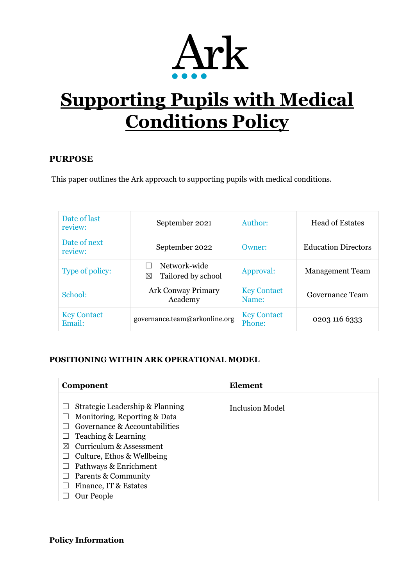

# **Supporting Pupils with Medical Conditions Policy**

## **PURPOSE**

This paper outlines the Ark approach to supporting pupils with medical conditions.

| Date of last<br>review:      | September 2021                                    | Author:                      | <b>Head of Estates</b>     |
|------------------------------|---------------------------------------------------|------------------------------|----------------------------|
| Date of next<br>review:      | September 2022                                    | Owner:                       | <b>Education Directors</b> |
| Type of policy:              | Network-wide<br>Tailored by school<br>$\boxtimes$ | Approval:                    | <b>Management Team</b>     |
| School:                      | <b>Ark Conway Primary</b><br>Academy              | <b>Key Contact</b><br>Name:  | Governance Team            |
| <b>Key Contact</b><br>Email: | governance.team@arkonline.org                     | <b>Key Contact</b><br>Phone: | 0203 116 6333              |

#### **POSITIONING WITHIN ARK OPERATIONAL MODEL**

| Component                                                                                                                                                                                                                                                                                                                                              | Element                |
|--------------------------------------------------------------------------------------------------------------------------------------------------------------------------------------------------------------------------------------------------------------------------------------------------------------------------------------------------------|------------------------|
| Strategic Leadership & Planning<br>L<br>Monitoring, Reporting & Data<br>$\mathbf{L}$<br>Governance & Accountabilities<br>Teaching & Learning<br>L<br><b>Curriculum &amp; Assessment</b><br>⊠<br>Culture, Ethos & Wellbeing<br>L<br>Pathways & Enrichment<br>$\mathbf{L}$<br>Parents & Community<br>$\mathbf{L}$<br>Finance, IT & Estates<br>Our People | <b>Inclusion Model</b> |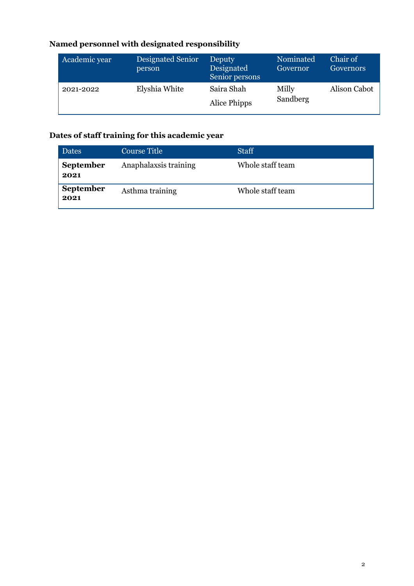# **Named personnel with designated responsibility**

| Academic year | Designated Senior<br>person | Deputy<br>Designated<br>Senior persons | Nominated<br>Governor | Chair of<br>Governors |
|---------------|-----------------------------|----------------------------------------|-----------------------|-----------------------|
| 2021-2022     | Elyshia White               | Saira Shah<br>Alice Phipps             | Milly<br>Sandberg     | Alison Cabot          |

# **Dates of staff training for this academic year**

| <b>Dates</b>             | Course Title          | <b>Staff</b>     |
|--------------------------|-----------------------|------------------|
| <b>September</b><br>2021 | Anaphalaxsis training | Whole staff team |
| <b>September</b><br>2021 | Asthma training       | Whole staff team |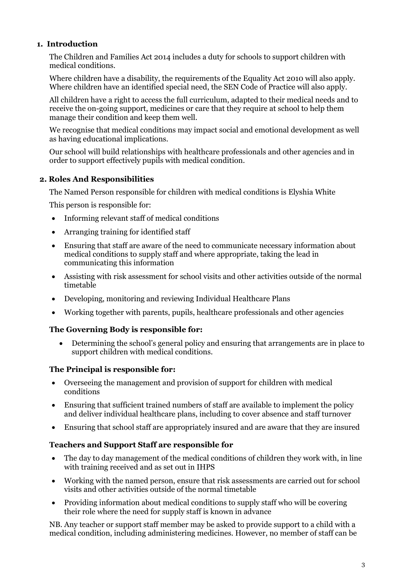#### **1. Introduction**

The Children and Families Act 2014 includes a duty for schools to support children with medical conditions.

Where children have a disability, the requirements of the Equality Act 2010 will also apply. Where children have an identified special need, the SEN Code of Practice will also apply.

All children have a right to access the full curriculum, adapted to their medical needs and to receive the on-going support, medicines or care that they require at school to help them manage their condition and keep them well.

We recognise that medical conditions may impact social and emotional development as well as having educational implications.

Our school will build relationships with healthcare professionals and other agencies and in order to support effectively pupils with medical condition.

#### **2. Roles And Responsibilities**

The Named Person responsible for children with medical conditions is Elyshia White

This person is responsible for:

- Informing relevant staff of medical conditions
- Arranging training for identified staff
- Ensuring that staff are aware of the need to communicate necessary information about medical conditions to supply staff and where appropriate, taking the lead in communicating this information
- Assisting with risk assessment for school visits and other activities outside of the normal timetable
- Developing, monitoring and reviewing Individual Healthcare Plans
- Working together with parents, pupils, healthcare professionals and other agencies

#### **The Governing Body is responsible for:**

• Determining the school's general policy and ensuring that arrangements are in place to support children with medical conditions.

#### **The Principal is responsible for:**

- Overseeing the management and provision of support for children with medical conditions
- Ensuring that sufficient trained numbers of staff are available to implement the policy and deliver individual healthcare plans, including to cover absence and staff turnover
- Ensuring that school staff are appropriately insured and are aware that they are insured

#### **Teachers and Support Staff are responsible for**

- The day to day management of the medical conditions of children they work with, in line with training received and as set out in IHPS
- Working with the named person, ensure that risk assessments are carried out for school visits and other activities outside of the normal timetable
- Providing information about medical conditions to supply staff who will be covering their role where the need for supply staff is known in advance

NB. Any teacher or support staff member may be asked to provide support to a child with a medical condition, including administering medicines. However, no member of staff can be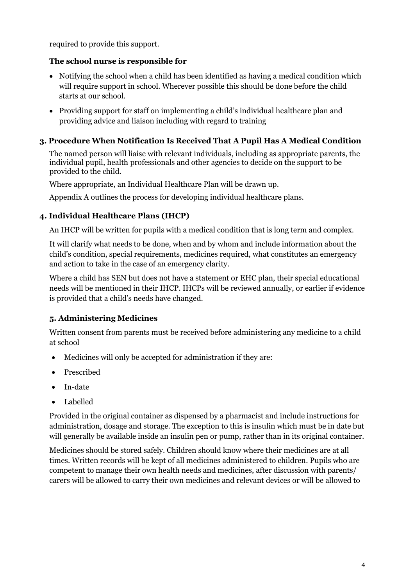required to provide this support.

## **The school nurse is responsible for**

- Notifying the school when a child has been identified as having a medical condition which will require support in school. Wherever possible this should be done before the child starts at our school.
- Providing support for staff on implementing a child's individual healthcare plan and providing advice and liaison including with regard to training

#### **3. Procedure When Notification Is Received That A Pupil Has A Medical Condition**

The named person will liaise with relevant individuals, including as appropriate parents, the individual pupil, health professionals and other agencies to decide on the support to be provided to the child.

Where appropriate, an Individual Healthcare Plan will be drawn up.

Appendix A outlines the process for developing individual healthcare plans.

## **4. Individual Healthcare Plans (IHCP)**

An IHCP will be written for pupils with a medical condition that is long term and complex.

It will clarify what needs to be done, when and by whom and include information about the child's condition, special requirements, medicines required, what constitutes an emergency and action to take in the case of an emergency clarity.

Where a child has SEN but does not have a statement or EHC plan, their special educational needs will be mentioned in their IHCP. IHCPs will be reviewed annually, or earlier if evidence is provided that a child's needs have changed.

# **5. Administering Medicines**

Written consent from parents must be received before administering any medicine to a child at school

- Medicines will only be accepted for administration if they are:
- Prescribed
- In-date
- Labelled

Provided in the original container as dispensed by a pharmacist and include instructions for administration, dosage and storage. The exception to this is insulin which must be in date but will generally be available inside an insulin pen or pump, rather than in its original container.

Medicines should be stored safely. Children should know where their medicines are at all times. Written records will be kept of all medicines administered to children. Pupils who are competent to manage their own health needs and medicines, after discussion with parents/ carers will be allowed to carry their own medicines and relevant devices or will be allowed to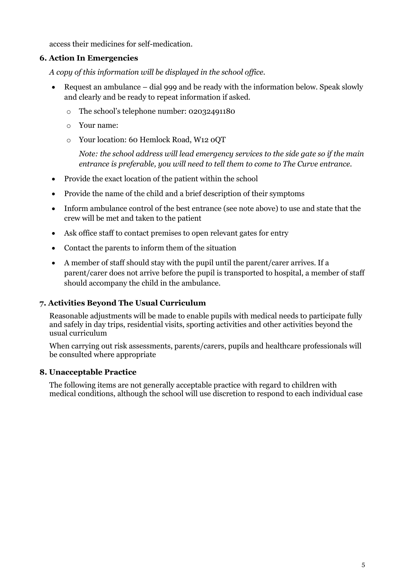access their medicines for self-medication.

#### **6. Action In Emergencies**

*A copy of this information will be displayed in the school office.*

- Request an ambulance dial 999 and be ready with the information below. Speak slowly and clearly and be ready to repeat information if asked.
	- o The school's telephone number: 02032491180
	- o Your name:
	- o Your location: 60 Hemlock Road, W12 0QT

*Note: the school address will lead emergency services to the side gate so if the main entrance is preferable, you will need to tell them to come to The Curve entrance.*

- Provide the exact location of the patient within the school
- Provide the name of the child and a brief description of their symptoms
- Inform ambulance control of the best entrance (see note above) to use and state that the crew will be met and taken to the patient
- Ask office staff to contact premises to open relevant gates for entry
- Contact the parents to inform them of the situation
- A member of staff should stay with the pupil until the parent/carer arrives. If a parent/carer does not arrive before the pupil is transported to hospital, a member of staff should accompany the child in the ambulance.

# **7. Activities Beyond The Usual Curriculum**

Reasonable adjustments will be made to enable pupils with medical needs to participate fully and safely in day trips, residential visits, sporting activities and other activities beyond the usual curriculum

When carrying out risk assessments, parents/carers, pupils and healthcare professionals will be consulted where appropriate

#### **8. Unacceptable Practice**

The following items are not generally acceptable practice with regard to children with medical conditions, although the school will use discretion to respond to each individual case